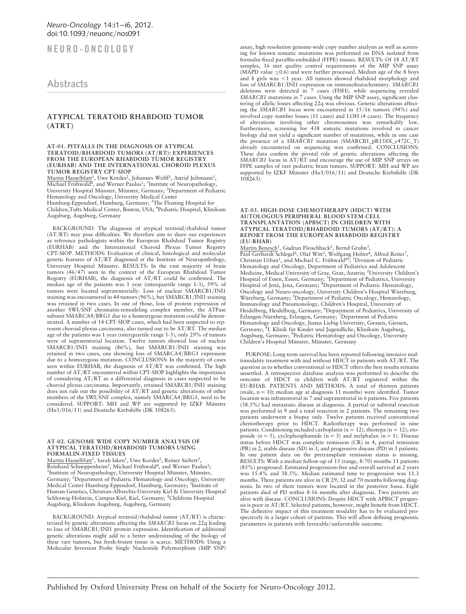NEURO-ONCOLOGY

# **Abstracts**

## ATYPICAL TERATOID RHABDOID TUMOR (ATRT)

### AT-01. PITFALLS IN THE DIAGNOSIS OF ATYPICAL TERATOID/RHABDOID TUMORS (AT/RT): EXPERIENCES FROM THE EUROPEAN RHABDOID TUMOR REGISTRY (EURHAB) AND THE INTERNATIONAL CHOROID PLEXUS TUMOR REGISTRY CPT-SIOP

<u>Martin Hasselblatt<sup>1</sup>,</u> Uwe Kordes<sup>2</sup>, Johannes Wolff<sup>3</sup>, Astrid Jeibmann<sup>1</sup>,<br>Michael Frühwald<sup>4</sup>, and Werner Paulus<sup>1</sup>; <sup>1</sup>Institute of Neuropathology,<br>University Hospital Münster, Münster, Germany; <sup>2</sup>Department of Pedi Hematology and Oncology, University Medical Center

Hamburg-Eppendorf, Hamburg, Germany; <sup>3</sup>The Floating Hospital for<br>Children,Tufts Medical Center, Boston, USA; <sup>4</sup>Pediatric Hospital, Klinikum Augsburg, Augsburg, Germany

BACKGROUND: The diagnosis of atypical teratoid/rhabdoid tumor (AT/RT) may pose difficulties. We therefore aim to share our experiences as reference pathologists within the European Rhabdoid Tumor Registry (EURHAB) and the International Choroid Plexus Tumor Registry CPT-SIOP. METHODS: Evaluation of clinical, histological and molecular genetic features of AT/RT diagnosed at the Institute of Neuropathology,<br>University Hospital Münster. RESULTS: In the vast majority of brain tumors (46/47) seen in the context of the European Rhabdoid Tumor Registry (EURHAB), the diagnosis of AT/RT could be confirmed. The median age of the patients was 1 year (interquartile range 1-3), 59% of tumors were located supratentorially. Loss of nuclear SMARCB1/INI1 staining was encountered in 44 tumors (96%), but SMARCB1/INI1 staining was retained in two cases. In one of those, loss of protein expression of another SWI/SNF chromatin-remodeling complex member, the ATPase subunit SMARCA4/BRG1 due to a homozygous mutation could be demonstrated. A number of 14 CPT-SIOP cases, which had been suspected to represent choroid plexus carcinoma, also turned out to be AT/RT. The median age of the patients was 1 year (interquartile range 1-3), only 29% of tumors were of supratentorial location. Twelve tumors showed loss of nuclear SMARCB1/INI1 staining (86%), but SMARCB1/INI1 staining was retained in two cases, one showing loss of SMARCA4/BRG1 expression due to a homozygous mutation. CONCLUSIONS: In the majority of cases seen within EURHAB, the diagnosis of AT/RT was confirmed. The high number of AT/RT encountered within CPT-SIOP highlights the importance of considering AT/RT as a differential diagnosis in cases suspected to be choroid plexus carcinoma. Importantly, retained SMARCB1/INI1 staining does not rule out the possibility of AT/RT and genetic alterations of other<br>members of the SWI/SNF complex, namely SMARCA4/BRG1, need to be<br>considered. SUPPORT: MH and WP are supported by IZKF Münster (Ha3/016/11) and Deutsche Krebshilfe (DK 108263).

#### AT-02. GENOME WIDE COPY NUMBER ANALYSIS OF ATYPICAL TERATOID/RHABDOID TUMORS USING FORMALIN-FIXED TISSUES

Martin Hasselblatt<sup>1</sup>, Sarah Isken<sup>1</sup>, Uwe Kordes<sup>2</sup>, Reiner Siebert<sup>3</sup>, Reinhard Schneppenheim<sup>2</sup>, Michael Frühwald<sup>4</sup>, and Werner Paulus<sup>1</sup>; <sup>1</sup>Institute of Neuropathology, University Hospital Münster, Münster, Germany; <sup>2</sup>Department of Pediatric Hematology and Oncology, University Medical Center Hamburg-Eppendorf, Hamburg, Germany; <sup>3</sup>Institute of Human Genetics, Christian-Albrechts-University Kiel & University Hospital Schleswig-Holstein, Campus Kiel, Kiel, Germany; <sup>4</sup>Childrens Hospital Augsburg, Klinikum Augsburg, Augsburg, Germany

BACKGROUND: Atypical teratoid/rhabdoid tumor (AT/RT) is characterized by genetic alterations affecting the SMARCB1 locus on 22q leading to loss of SMARCB1/INI1 protein expression. Identification of additional genetic alterations might add to a better understanding of the biology of these rare tumors, but fresh-frozen tissue is scarce. METHODS: Using a Molecular Inversion Probe Single Nucleotide Polymorphism (MIP SNP) assay, high resolution genome-wide copy number analysis as well as screening for known somatic mutations was performed on DNA isolated from formalin-fixed paraffin-embedded (FFPE) tissues. RESULTS: Of 18 AT/RT samples, 16 met quality control requirements of the MIP SNP assay (MAPD value  $\leq 0.6$ ) and were further processed. Median age of the 8 boys and 8 girls was <1 year. All tumors showed rhabdoid morphology and<br>loss of SMARCB1/INI1 expression on immunohistochemistry. SMARCB1 deletions were detected in 7 cases (FISH), while sequencing revealed SMARCB1 mutations in 7 cases. Using the MIP SNP assay, significant clustering of allelic losses affecting 22q was obvious. Genetic alterations affecting the SMARCB1 locus were encountered in 15/16 tumors (94%) and involved copy number losses (11 cases) and LOH (4 cases). The frequency of alterations involving other chromosomes was remarkably low. Furthermore, screening for 438 somatic mutations involved in cancer biology did not yield a significant number of mutations, while in one case the presence of a SMARCB1 mutation (SMARCB1\_pR158X\_c472C\_T) already encountered on sequencing was confirmed. CONCLUSIONS: These data confirm the pivotal role of genetic alterations affecting the SMARCB1 locus in AT/RT and encourage the use of MIP SNP arrays on FFPE samples of rare pediatric brain tumors. SUPPORT: MH and WP are supported by IZKF Münster (Ha3/016/11) and Deutsche Krebshilfe (DK<br>108263).

#### AT-03. HIGH-DOSE CHEMOTHERAPY (HDCT) WITH AUTOLOGOUS PERIPHERAL BLOOD STEM CELL TRANSPLANTATION (APBSCT) IN CHILDREN WITH ATYPICAL TERATOID/RHABDOID TUMORS (AT/RT): A REPORT FROM THE EUROPEAN RHABDOID REGISTRY (EU-RHAB)

Martin Benesch<sup>1</sup>, Gudrun Fleischhack<sup>2</sup>, Bernd Gruhn<sup>3</sup>,<br>Paul-Gerhardt Schlegel<sup>4</sup>, Olaf Witt<sup>5</sup>, Wolfgang Holter<sup>6</sup>, Alfred Reiter<sup>7</sup>,<br>Christian Urban<sup>1</sup>, and Michael C. Frühwald<sup>89</sup>; <sup>1</sup>Division of Pediatric Hematology and Oncology, Department of Pediatrics and Adolescent<br>Medicine, Medical University of Graz, Graz, Austria; <sup>2</sup>University Children's Hospital of Essen, Essen, Germany; <sup>3</sup>Department of Pediatrics, University<br>Hospital of Jena, Jena, Germany; <sup>4</sup>Department of Pediatric Hematology,<br>Oncology and Neuro-oncology, University Children's Hospital Würzburg, Würzburg, Germany; <sup>5</sup>Department of Pediatric Oncology, Hematology, Immunology and Pneumonology, Children's Hospital, University of Heidelberg, Heidelberg, Germany; <sup>6</sup>Department of Pediatrics, University of Erlangen-Nürnberg, Erlangen, Germany; <sup>7</sup>Department of Pediatric Hematology and Oncology, Justus Liebig University, Giessen, Giessen,<br>Germany; <sup>8</sup>I. Klinik für Kinder und Jugendliche, Klinikum Augsburg, Augsburg, Germany; <sup>9</sup>Pediatric Hematology and Oncology, University<br>Children's Hospital Münster, Münster, Germany

PURPOSE: Long-term survival has been reported following intensive multimodality treatment with and without HDCT in patients with AT/RT. The question as to whether conventional or HDCT offers the best results remains unsettled. A retrospective database analysis was performed to describe the outcome of HDCT in children with AT/RT registered within the EU-RHAB. PATIENTS AND METHODS: A total of thirteen patients (male,  $n = 10$ ; median age at diagnosis 11 months) were identified. Tumor location was infratentorial in 7 and supratentorial in 6 patients. Five patients (38.5%) had metastatic disease at diagnosis. A partial or subtotal resection was performed in 9 and a total resection in 2 patients. The remaining two patients underwent a biopsy only. Twelve patients received conventional chemotherapy prior to HDCT. Radiotherapy was performed in nine patients. Conditioning included carboplatin ( $n = 12$ ), thiotepa ( $n = 12$ ), etoposide (n = 5), cyclophosphamide (n = 3) and melphalan (n = 1). Disease status before HDCT was complete remission (CR) in 4, partial remission (PR) in 2, stable disease (SD) in 3, and progressive disease (PD) in 3 patients. In one patient data on the pretransplant remission status is missing. RESULTS: With a median follow-up of 15 (range, 8-70) months 11 patients (85%) progressed. Estimated progression-free and overall survival at 2 years was 15.4% and 38.5%. Median estimated time to progression was 11.3 months. Three patients are alive in CR 29, 32 and 70 months following diagnosis. In two of them tumors were located in the posterior fossa. Eight patients died of PD within 8-16 months after diagnosis. Two patients are alive with disease. CONCLUSIONS: Despite HDCT with APBSCT prognosis is poor in AT/RT. Selected patients, however, might benefit from HDCT. The definitive impact of this treatment modality has to be evaluated prospectively in a larger cohort of patients. This will allow defining prognostic parameters in patients with favorable/unfavorable outcome.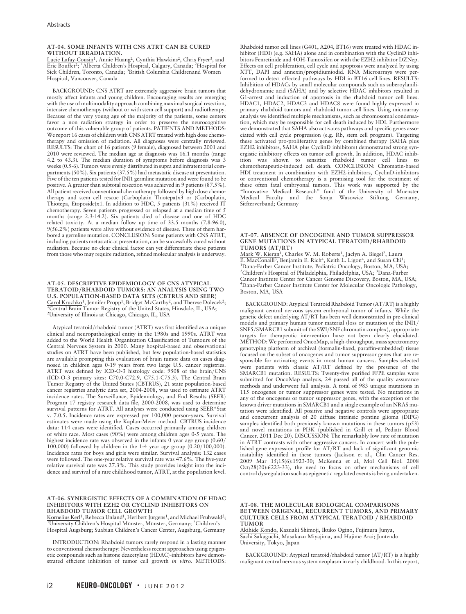### AT-04. SOME INFANTS WITH CNS ATRT CAN BE CURED WITHOUT IRRADIATION.

Lucie Lafay-Cousin<sup>1</sup>, Annie Huang<sup>2</sup>, Cynthia Hawkins<sup>2</sup>, Chris Fryer<sup>3</sup>, and Eric Bouffet<sup>2</sup>; <sup>1</sup>Alberta Children's Hospital, Calgary, Canada; <sup>2</sup>Hospital for Sick Children, Toronto, Canada; <sup>3</sup>British Columbia Childrenand Women Hospital, Vancouver, Canada

BACKGROUND: CNS ATRT are extremely aggressive brain tumors that mostly affect infants and young children. Encouraging results are emerging with the use of multimodality approach combining maximal surgical resection, intensive chemotherapy (without or with stem cell support) and radiotherapy. Because of the very young age of the majority of the patients, some centers favor a non radiation strategy in order to preserve the neurocognitive outcome of this vulnerable group of patients. PATIENTS AND METHODS: We report 16 cases of children with CNS ATRT treated with high dose chemotherapy and omission of radiation. All diagnoses were centrally reviewed. RESULTS: The chart of 16 patients (9 female), diagnosed between 2001 and 2010 were reviewed. The median age at diagnosis was 16.1 months (range 4.2 to 43.3). The median duration of symptoms before diagnosis was 3 weeks (0.5-6). Tumors were evenly distributed in supra and infratentorial compartments (50%). Six patients (37.5%) had metastatic disease at presentation. Five of the ten patients tested for INI1 germline mutation and were found to be positive. A greater than subtotal resection was achieved in 9 patients (87.5%). All patient received conventional chemotherapy followed by high dose chemotherapy and stem cell rescue (Carboplatin Thiotepa)x3 or (Carboplatin, Thiotepa, Etoposide)x1. In addition to HDC, 5 patients (31%) received IT chemotherapy. Seven patients progressed or relapsed at a median time of 5 months (range 2.3-14.2). Six patients died of disease and one of HDC related toxicity. At a median follow up time of 33.5 months (7.8-96.0), 9(56.2%) patients were alive without evidence of disease. Three of them harbored a germline mutation. CONCLUSION: Some patients with CNS ATRT, including patients metastatic at presentation, can be successfully cured without radiation. Because no clear clinical factor can yet differentiate these patients from those who may require radiation, refined molecular analysis is underway.

### AT-05. DESCRIPTIVE EPIDEMIOLOGY OF CNS ATYPICAL TERATOID/RHABDOID TUMORS: AN ANALYSIS USING TWO U.S. POPULATION-BASED DATA SETS (CBTRUS AND SEER) Carol Kruchko<sup>1</sup>, Jennifer Propp<sup>1</sup>, Bridget McCarthy<sup>2</sup>, and Therese Dolecek<sup>2</sup>; <sup>I</sup>Central Brain Tumor Registry of the United States, Hinsdale, IL, USA; 2 University of Illinois at Chicago, Chicago, IL, USA

Atypical teratoid/rhabdoid tumor (ATRT) was first identified as a unique clinical and neuropathological entity in the 1980s and 1990s. ATRT was added to the World Health Organization Classification of Tumours of the Central Nervous System in 2000. Many hospital-based and observational studies on ATRT have been published, but few population-based statistics are available prompting this evaluation of brain tumor data on cases diagnosed in children ages 0-19 years from two large U.S. cancer registries. ATRT was defined by ICD-O-3 histology code: 9508 of the brain/CNS (ICD-O-3 primary sites: C70.0-C72.9, C75.1-C75.3). The Central Brain Tumor Registry of the United States (CBTRUS), 21 state population-based cancer registries analytic data set, 2004-2008, was used to estimate ATRT incidence rates. The Surveillance, Epidemiology, and End Results (SEER) Program 17 registry research data file, 2000-2008, was used to determine survival patterns for ATRT. All analyses were conducted using SEER\*Stat v. 7.0.5. Incidence rates are expressed per 100,000 person-years. Survival estimates were made using the Kaplan-Meier method. CBTRUS incidence data: 114 cases were identified. Cases occurred primarily among children of white race. Most cases (90%) were among children ages 0-5 years. The highest incidence rate was observed in the infants 0 year age group  $(0.60/$ 100,000) followed by children in the 1-4 year age group (0.20/100,000). Incidence rates for boys and girls were similar. Survival analysis: 132 cases were followed. The one-year relative survival rate was 47.6%. The five-year relative survival rate was 27.3%. This study provides insight into the incidence and survival of a rare childhood tumor, ATRT, at the population level.

### AT-06. SYNERGISTIC EFFECTS OF A COMBINATION OF HDAC INHIBITORS WITH EZH2 OR CYCLIND INHIBITORS ON RHABDOID TUMOR CELL GROWTH

Kornelius Kerl<sup>1</sup>, Rebecca Unland<sup>1</sup>, Heribert Jürgens<sup>1</sup>, and Michael Frühwald<sup>2</sup>; University Children's Hospital Münster, Münster, Germany; <sup>2</sup>Children's Hospital Augsburg; Suabian Children's Cancer Center, Augsburg, Germany

INTRODUCTION: Rhabdoid tumors rarely respond in a lasting manner to conventional chemotherapy: Nevertheless recent approaches using epigenetic compounds such as histone deacetylase (HDAC)-inhibitors have demonstrated efficient inhibition of tumor cell growth in vitro. METHODS:

Rhabdoid tumor cell lines (G401, A204, BT16) were treated with HDAC inhibitor (HDI) (e.g. SAHA) alone and in combination with the CyclinD inhibitors Fenretinide and 4OH-Tamoxifen or with the EZH2 inhibitor DZNep. Effects on cell proliferation, cell cycle and apoptosis were analyzed by using XTT, DAPI and annexin/propidiumiodid. RNA Microarrays were performed to detect effected pathways by HDI in BT16 cell lines. RESULTS: Inhibition of HDACs by small molecular compounds such as suberoylanilidehydroxamic acid (SAHA) and by selective HDAC inhibitors resulted in G1-arrest and induction of apoptosis in the rhabdoid tumor cell lines. HDAC1, HDAC2, HDAC3 and HDAC8 were found highly expressed in primary rhabdoid tumors and rhabdoid tumor cell lines. Using microarray analysis we identified multiple mechanisms, such as chromosomal condensation, which may be responsible for cell death induced by HDI. Furthermore we demonstrated that SAHA also activates pathways and specific genes associated with cell cycle progression (e.g. Rb, stem cell program). Targeting these activated pro-proliferative genes by combined therapy (SAHA plus EZH2 inhibitors, SAHA plus CyclinD inhibitors) demonstrated strong synergistic inhibitory effects on tumor cell growth. In addition, HDAC inhib-ition was shown to sensitize rhabdoid tumor cell lines to chemotherapeutic-induced cell death. CONCLUSION: Chromatin-based HDI treatment in combination with EZH2-inhibitors, CyclinD-inhibitors or conventional chemotherapy is a promising tool for the treatment of these often fatal embryonal tumors. This work was supported by the "Innovative Medical Research" fund of the University of Muenster Medical Faculty and the Sonja Wasowicz Stiftung Germany, Sitfterverband; Germany

### AT-07. ABSENCE OF ONCOGENE AND TUMOR SUPPRESSOR GENE MUTATIONS IN ATYPICAL TERATOID/RHABDOID TUMORS (AT/RT)

Mark W. Kieran<sup>1</sup>, Charles W. M. Roberts<sup>1</sup>, Jaclyn A. Biegel<sup>2</sup>, Laura<br>E. MacConaill<sup>3</sup>, Benjamin E. Rich<sup>4</sup>, Keith L. Ligon<sup>4</sup>, and Susan Chi<sup>1</sup>; E. MacConaill<sup>3</sup>, Benjamin E. Rich<sup>4</sup>, Keith L. Ligon<sup>4</sup>, and Susan Chi<sup>1</sup>;<br><sup>1</sup>Dana-Farber Cancer Institute, Pediatric Oncology, Boston, MA, USA;<br><sup>2</sup>Children's Hospital of Philadelphia, Philadelphia, USA; <sup>3</sup>Dana-Farber Cancer Institute Center for Cancer Genome Discovery, Boston, MA, USA; 4 Dana-Farber Cancer Institute Center for Molecular Oncologic Pathology, Boston, MA, USA

BACKGROUND: Atypical Teratoid Rhabdoid Tumor (AT/RT) is a highly malignant central nervous system embryonal tumor of infants. While the genetic defect underlying AT/RT has been well demonstrated in pre-clinical models and primary human tumor material (loss or mutation of the INI1/ SNF5/SMARCB1 subunit of the SWI/SNF chromatin complex), appropriate targets for therapeutic intervention have not been clearly elucidated. METHOD: We performed OncoMap, a high-throughput, mass spectrometry genotyping platform of archival (formalin-fixed, paraffin-embedded) tissue focused on the subset of oncogenes and tumor suppressor genes that are responsible for activating events in most human cancers. Samples selected were patients with classic AT/RT defined by the presence of the SMARCB1 mutation. RESULTS: Twenty-five purified FFPE samples were submitted for OncoMap analysis, 24 passed all of the quality assurance methods and underwent full analysis. A total of 983 unique mutations in 115 oncogenes or tumor suppressor genes were tested. No mutations in any of the oncogenes or tumor suppressor genes, with the exception of the known driver mutations in SMARCB1 and a single example of an NRAS mutation were identified. All positive and negative controls were appropriate and concurrent analysis of 20 diffuse intrinsic pontine glioma (DIPG) samples identified both previously known mutations in these tumors (p53) and novel mutations in PI3K (published in Grill et al, Pediatr Blood Cancer. 2011 Dec 20). DISCUSSION: The remarkably low rate of mutation in ATRT contrasts with other aggressive cancers. In concert with the published gene expression profile for AT/RT and lack of significant genomic instability identified in these tumors (Jackson et al., Clin Cancer Res. 2009 Mar 15;15(6):1923-30; McKenna et al, Mol Cell Biol. 2008 Oct;28(20):6223-33), the need to focus on other mechanisms of cell control dysregulation such as epigenetic regulated events is being undertaken.

AT-08. THE MOLECULAR BIOLOGICAL COMPARISONS BETWEEN ORIGINAL, RECURRENT TUMORS, AND PRIMARY CULTURE CELLS FROM ATYPICAL TERATOID / RHABDOID **TUMOR** 

Akihide Kondo, Kazuaki Shimoji, Ikuko Ogino, Fujimura Junya, Sachi Sakaguchi, Masakazu Miyajima, and Hajime Arai; Juntendo University, Tokyo, Japan

BACKGROUND: Atypical teratoid/rhabdoid tumor (AT/RT) is a highly malignant central nervous system neoplasm in early childhood. In this report,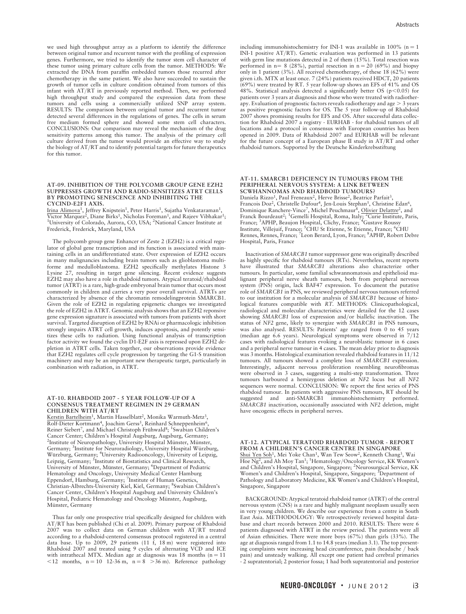we used high throughput array as a platform to identify the difference between original tumor and recurrent tumor with the profiling of expression genes. Furthermore, we tried to identify the tumor stem cell character of these tumor using primary culture cells from the tumor. METHODS: We extracted the DNA from paraffin embedded tumors those recurred after chemotherapy in the same patient. We also have succeeded to sustain the growth of tumor cells in culture condition obtained from tumors of this infant with AT/RT in previously reported method. Then, we performed high throughput study and compared the expression data from these tumors and cells using a commercially utilized SNP array system. RESULTS: The comparison between original tumor and recurrent tumor detected several differences in the regulations of genes. The cells in serum free medium formed sphere and showed some stem cell characters. CONCLUSIONS: Our comparison may reveal the mechanism of the drug sensitivity patterns among this tumor. The analysis of the primary cell culture derived from the tumor would provide an effective way to study the biology of AT/RT and to identify potential targets for future therapeutics for this tumor.

### AT-09. INHIBITION OF THE POLYCOMB GROUP GENE EZH2 SUPPRESSES GROWTH AND RADIO-SENSITIZES ATRT CELLS BY PROMOTING SENESCENCE AND INHIBITING THE CYCIND-E2F1 AXIS.

I<u>rina Alimova<sup>1</sup>, J</u>effrey Knipstein<sup>1</sup>, Peter Harris<sup>1</sup>, Sujatha Venkataraman<sup>1</sup>,<br>Victor Marquez<sup>2</sup>, Diane Birks<sup>1</sup>, Nicholas Foreman<sup>1</sup>, and Rajeev Vibhakar<sup>1</sup>;<br><sup>1</sup>University of Colorado, Ayrora, CO, USA: <sup>2</sup>Notional Ca University of Colorado, Aurora, CO, USA; <sup>2</sup>National Cancer Institute at Frederick, Frederick, Maryland, USA

The polycomb group gene Enhancer of Zeste 2 (EZH2) is a critical regulator of global gene transcription and its function is associated with maintaining cells in an undifferentiated state. Over expression of EZH2 occurs in many malignancies including brain tumors such as glioblastoma multiforme and medulloblastoma. EZH2 specifically methylates Histone 3 Lysine 27, resulting in target gene silencing. Recent evidence suggests EZH2 may also have a role in rhabdoid tumors. Atypical teratoid/rhabdoid tumor (ATRT) is a rare, high-grade embryonal brain tumor that occurs most commonly in children and carries a very poor overall survival. ATRTs are characterized by absence of the chromatin remodelingprotein SMARCB1. Given the role of EZH2 in regulating epigenetic changes we investigated the role of EZH2 in ATRT. Genomic analysis shows that an EZH2 reponsive gene expression signature is associated with tumors from patients with short survival. Targeted disruption of EZH2 by RNAi or pharmacologic inhibition strongly impairs ATRT cell growth, induces apoptosis, and potently sensitizes these cells to radiation. Using functional analysis of transcription factor activity we found the cyclin D1-E2F axis is repressed upon EZH2 depletion in ATRT cells. Taken together, our observations provide evidence that EZH2 regulates cell cycle progression by targeting the G1-S transition machinery and may be an important new therapeutic target, particularly in combination with radiation, in ATRT.

### AT-10. RHABDOID 2007 - 5 YEAR FOLLOW-UP OF A CONSENSUS TREATMENT REGIMEN IN 29 GERMAN CHILDREN WITH AT/RT

Kerstin Bartelheim<sup>1</sup>, Martin Hasselblatt<sup>2</sup>, Monika Warmuth-Metz<sup>3</sup>,<br>Rolf-Dieter Kortmann<sup>4</sup>, Joachim Gerss<sup>5</sup>, Reinhard Schneppenheim<sup>6</sup>, Reiner Siebert<sup>7</sup>, and Michael Christoph Frühwald<sup>8</sup>; <sup>1</sup>Swabian Children's Cancer Center; Children's Hospital Augsburg, Augsburg, Germany; <sup>2</sup>Institute of Neuropathology, University Hospital Münster, Münster, Germany; <sup>3</sup>Institute for Neuroradiology, University Hospital Würzburg, Wu¨rzburg, Germany; <sup>4</sup> University Radiooncology, University of Leipzig, Leipzig, Germany; <sup>5</sup> Institute of Biostatistics and Clinical Research, University of Münster, Münster, Germany; <sup>6</sup>Department of Pediatric Hematology and Oncology, University Medical Center Hamburg Eppendorf, Hamburg, Germany; <sup>7</sup>Institute of Human Genetics, Christian-Albrechts-University Kiel, Kiel, Germany; <sup>8</sup>Swabian Children's Cancer Center, Children's Hospital Augsburg and University Children's Hospital, Pediatric Hematology and Oncology Münster, Augsburg, Münster, Germany

Thus far only one prospective trial specifically designed for children with AT/RT has been published (Chi et al. 2009). Primary purpose of Rhabdoid 2007 was to collect data on German children with AT/RT treated according to a rhabdoid-centered consensus protocol registered in a central data base. Up to 2009, 29 patients (11  $\hat{f}$ , 18 m) were registered into Rhabdoid 2007 and treated using 9 cycles of alternating VCD and ICE with intrathecal MTX. Median age at diagnosis was  $18$  months ( $n = 11$ )  $\langle 12 \text{ months}, \text{n} = 10 \text{ 12-36 m}, \text{n} = 8 \rangle$   $>36 \text{ m}$ ). Reference pathology

including immunohistochemistry for INI-1 was available in 100% ( $n = 1$ INI-1 positive AT/RT). Genetic evaluation was performed in 13 patients with germ line mutations detected in 2 of them  $(15\%)$ . Total resection was performed in n = 8 (28%), partial resection in n = 20 (69%) and biopsy only in 1 patient (3%). All received chemotherapy, of these 18 (62%) were given i.th. MTX at least once. 7 (24%) patients received HDCT, 20 patients  $(69%)$  were treated by RT. 5 year follow-up shows an EFS of 41% and OS 48%. Statistical analysis detected a significantly better OS ( $p$ <0.05) for patients over 3 years at diagnosis and those who were treated with radiotherapy. Evaluation of prognostic factors reveals radiotherapy and  $age > 3$  years as positive prognostic factors for OS. The 5 year follow-up of Rhabdoid 2007 shows promising results for EFS and OS. After successful data collection for Rhabdoid 2007 a registry - EURHAB - for rhabdoid tumors of all locations and a protocol in consensus with European countries has been opened in 2009. Data of Rhabdoid 2007 and EURHAB will be relevant for the future concept of a European phase II study in AT/RT and other rhabdoid tumors. Supported by the Deutsche Kinderkrebsstiftung

### AT-11. SMARCB1 DEFICIENCY IN TUMOURS FROM THE PERIPHERAL NERVOUS SYSTEM: A LINK BETWEEN SCWHANNOMAS AND RHADBOID TUMOURS?

Daniela Rizzo<sup>1</sup>, Paul Freneaux<sup>2</sup>, Herve Brisse<sup>2</sup>, Beatrice Parfait<sup>3</sup>, Francois Doz<sup>2</sup>, Christelle Dufour<sup>4</sup>, Jen-Louis Stephan<sup>5</sup>, Christine Edan<sup>6</sup>, Dominique Ranchere-Vince<sup>7</sup>, Michel Peuchmaur<sup>8</sup>, Olivier Delattre<sup>2</sup>, and Franck Bourdeaut<sup>2</sup>; <sup>1</sup>Gemelli Hospital, Roma, Italy<del>; <sup>2</sup>Curie Institute</del><br>France; <sup>3</sup>APHP, Beaujon Hospital, Clichy, France; <sup>4</sup>Gustave Roussy <sup>2</sup>Curie Institute, Paris, Institute, Villejuif, France; <sup>5</sup>CHU St Etienne, St Etienne, France; <sup>6</sup>CHU<br>Rennes, Rennes, France; <sup>7</sup>Leon Berard, Lyon, France; <sup>8</sup>APHP, Robert Debre Hospital, Paris, France

Inactivation of SMARCB1 tumor suppressor gene was originally described as highly specific for rhabdoid tumours (RTs). Nevertheless, recent reports have illustrated that SMARCB1 alterations also characterize other tumours. In particular, some familial schwannomatosis and epithelioid malignant peripheral nerve sheath tumours, both from peripheral nervous system (PNS) origin, lack BAF47 expression. To document the putative role of SMARCB1 in PNS, we reviewed peripheral nervous tumours referred to our institution for a molecular analysis of SMARCB1 because of histological features compatible with RT. METHODS: Clinicopathological, radiological and molecular characteristics were detailed for the 12 cases showing SMARCB1 loss of expression and/or biallelic inactivation. The status of NF2 gene, likely to synergize with SMARCB1 in PNS tumours, was also analysed. RESULTS: Patients' age ranged from 0 to 45 years (median age 6.6 years). Neurological symptoms were observed in 7/12 cases with radiological features evoking a neuroblastic tumour in 6 cases and a peripheral nerve tumour in 4 cases. The mean delay prior to diagnosis was 3 months. Histological examination revealed rhabdoid features in 11/12 tumours. All tumours showed a complete loss of SMARCB1 expression. Interestingly, adjacent nervous proliferation resembling neurofibromas were observed in 3 cases, suggesting a multi-step transformation. Three tumours harboured a hemizygous deletion at NF2 locus but all NF2 sequences were normal. CONCLUSION: We report the first series of PNS rhabdoid tumour. In patients with aggressive PNS tumours, RT should be suggested and anti-SMARCB1 immunohistochemistry performed. SMARCB1 inactivation, occasionally associated with NF2 deletion, might have oncogenic effects in peripheral nerves.

AT-12. ATYPICAL TERATOID RHABDOID TUMOR - REPORT FROM A CHILDREN'S CANCER CENTRE IN SINGAPORE Shui Yen Soh<sup>1</sup>, Mei Yoke Chan<sup>1</sup>, Wan Tew Seow<sup>2</sup>, Kenneth Chang<sup>3</sup>, Wai<br>Hoe Ng<sup>2</sup>, and Ah Moy Tan<sup>1</sup>; <sup>1</sup>Hematology/Oncology Service, KK Women's and Children's Hospital, Singapore, Singapore; <sup>2</sup>Neurosurgical Service, KK Women's and Children's Hospital, Singapore, Singapore; <sup>3</sup>Department of<br>Pathology and Laboratory Medicine, KK Women's and Children's Hospital, Singapore, Singapore

BACKGROUND: Atypical teratoid rhabdoid tumor (ATRT) of the central nervous system (CNS) is a rare and highly malignant neoplasm usually seen in very young children. We describe our experience from a centre in South East Asia. METHODOLOGY: We retrospectively reviewed hospital database and chart records between 2000 and 2010. RESULTS: There were 6 patients diagnosed with ATRT in the review period. The patients were all of Asian ethnicities. There were more boys  $(67%)$  than girls  $(33%)$ . The age at diagnosis ranged from 1.1 to 14.8 years (median 3.1). The top presenting complaints were increasing head circumference, pain (headache / back pain) and unsteady walking. All except one patient had cerebral primaries - 2 supratentorial; 2 posterior fossa; 1 had both supratentorial and posterior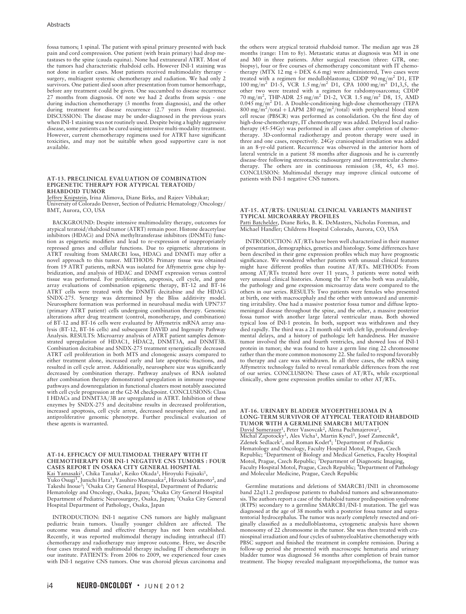fossa tumors; 1 spinal. The patient with spinal primary presented with back pain and cord compression. One patient (with brain primary) had drop metastases to the spine (cauda equina). None had extraneural ATRT. Most of the tumors had characteristic rhabdoid cells. However INI-1 staining was not done in earlier cases. Most patients received multimodality therapy surgery, multiagent systemic chemotherapy and radiation. We had only 2 survivors. One patient died soon after presentation from tumor hemorrhage, before any treatment could be given. One succumbed to disease recurrence 27 months from diagnosis. Of note we had 2 deaths from sepsis - one during induction chemotherapy (3 months from diagnosis), and the other during treatment for disease recurrence (2.7 years from diagnosis). DISCUSSION: The disease may be under-diagnosed in the previous years when INI-1 staining was not routinely used. Despite being a highly aggressive disease, some patients can be cured using intensive multi-modality treatment. However, current chemotherapy regimens used for ATRT have significant toxicities, and may not be suitable when good supportive care is not available.

### AT-13. PRECLINICAL EVALUATION OF COMBINATION EPIGENETIC THERAPY FOR ATYPICAL TERATOID/ RHABDOID TUMOR

Jeffrey Knipstein, Irina Alimova, Diane Birks, and Rajeev Vibhakar; University of Colorado Denver, Section of Pediatric Hematology/Oncology/ BMT, Aurora, CO, USA

BACKGROUND: Despite intensive multimodality therapy, outcomes for atypical teratoid/rhabdoid tumor (ATRT) remain poor. Histone deacetylase inhibitors (HDACi) and DNA methyltransferase inhibitors (DNMTi) function as epigenetic modifiers and lead to re-expression of inappropriately repressed genes and cellular functions. Due to epigenetic alterations in ATRT resulting from SMARCB1 loss, HDACi and DNMTi may offer a novel approach to this tumor. METHODS: Primary tissue was obtained from 19 ATRT patients, mRNA was isolated for Affymetrix gene chip hybridization, and analysis of HDAC and DNMT expression versus control tissue was performed. For proliferation, apoptosis, cell cycle, and gene array evaluations of combination epigenetic therapy, BT-12 and BT-16 ATRT cells were treated with the DNMTi decitabine and the HDACi SNDX-275. Synergy was determined by the Bliss additivity model. Neurosphere formation was performed in neurobasal media with UPN737 (primary ATRT patient) cells undergoing combination therapy. Genomic alterations after drug treatment (control, monotherapy, and combination) of BT-12 and BT-16 cells were evaluated by Affymetrix mRNA array analysis (BT-12, BT-16 cells) and subsequent DAVID and Ingenuity Pathway Analysis. RESULTS: Microarray analysis of ATRT patient samples demonstrated upregulation of HDAC1, HDAC2, DNMT3A, and DNMT3B. Combination decitabine and SNDX-275 treatment synergistically decreased ATRT cell proliferation in both MTS and clonogenic assays compared to either treatment alone, increased early and late apoptotic fractions, and resulted in cell cycle arrest. Additionally, neurosphere size was significantly decreased by combination therapy. Pathway analyses of RNA isolated after combination therapy demonstrated upregulation in immune response pathways and downregulation in functional clusters most notably associated with cell cycle progression at the G2-M checkpoint. CONCLUSIONS: Class I HDACs and DNMT3A/3B are upregulated in ATRT. Inhibition of these enzymes by SNDX-275 and decitabine results in decreased proliferation, increased apoptosis, cell cycle arrest, decreased neurosphere size, and an antiproliferative genomic phenotype. Further preclinical evaluation of these agents is warranted.

### AT-14. EFFICACY OF MULTIMODAL THERAPY WITH IT CHEMOTHERAPY FOR INI-1 NEGATIVE CNS TUMORS : FOUR CASES REPORT IN OSAKA CITY GENERAL HOSPITAL Kai Yamasaki<sup>1</sup>, Chika Tanaka<sup>1</sup>, Keiko Okada<sup>1</sup>, Hiroyuki Fujisaki<sup>1</sup>,

Yuko Osugi<sup>1</sup>, Junichi Hara<sup>1</sup>, Yasuhiro Matsusaka<sup>2</sup>, Hiroaki Sakamoto<sup>2</sup>, and Takeshi Inoue<sup>3</sup>; <sup>1</sup>Osaka City General Hospital, Department of Pediatric Hematololgy and Oncology, Osaka, Japan; <sup>2</sup>Osaka City General Hospital Department of Pediatric Neurosurgery, Osaka, Japan; <sup>3</sup>Osaka City General Hospital Department of Pathology, Osaka, Japan

INTRODUCTION: INI-1 negative CNS tumors are highly malignant pediatric brain tumors. Usually younger children are affected. The outcome was dismal and effective therapy has not been established. Recently, it was reported multimodal therapy including intrathecal (IT) chemotherapy and radiotherapy may improve outcome. Here, we describe four cases treated with multimodal therapy including IT chemotherapy in our institute. PATIENTS: From 2006 to 2009, we experienced four cases with INI-1 negative CNS tumors. One was choroid plexus carcinoma and the others were atypical teratoid rhabdoid tumor. The median age was 28 months (range: 11m to 8y). Metastatic status at diagnosis was M1 in one and M0 in three patients. After surgical resection (three: GTR, one: biopsy), four or five courses of chemotherapy concomitant with IT chemotherapy (MTX 12 mg + DEX 6.6 mg) were administered, Two cases were treated with a regimen for medulloblastoma; CDDP  $90 \text{ mg/m}^2$  D1, ETP  $100 \text{ mg/m}^2$  D1-5, VCR 1.5 mg/m<sup>2</sup> D1, CPA 1000 mg/m<sup>2</sup> D1,3,5, the other two were treated with a regimen for rabdomyosarcoma; CDDP<br>70 mg/m<sup>2</sup>, THP-ADR 25 mg/m<sup>2</sup> D1-2, VCR 1.5 mg/m<sup>2</sup> D8, 15, AMD 0.045 mg/m<sup>2</sup> D1. A Double-conditioning high-dose chemotherapy (TEPA  $800 \text{ mg/m}^2/\text{total} + \text{LAPM}$  280 mg/m<sup>2</sup>/total) with peripheral blood stem cell rescue (PBSCR) was performed as consolidation. On the first day of high-dose-chemotherapy, IT chemotherapy was added. Delayed local radiotherapy (45-54Gy) was performed in all cases after completion of chemotherapy. 3D-conformal radiotherapy and proton therapy were used in three and one cases, respectively. 24Gy craniospinal irradiation was added in an 8-yr-old patient. Recurrence was observed in the anterior horn of lateral ventricle in a patient 58 months after diagnosis and he is currently disease-free following stereotactic radiosurgery and intraventricular chemotherapy. The others are in continuous remission (38, 45, 63 mo). CONCLUSION: Multimodal therapy may improve clinical outcome of patients with INI-1 negative CNS tumors.

### AT-15. AT/RTS: UNUSUAL CLINICAL VARIANTS MANIFEST TYPICAL MICROARRAY PROFILES Patti Batchelder, Diane Birks, B. K. DeMasters, Nicholas Foreman, and

Michael Handler; Childrens Hospital Colorado, Aurora, CO, USA

INTRODUCTION: AT/RTs have been well characterized in their manner of presentation, demographics, genetics and histology. Some differences have been described in their gene expression profiles which may have prognostic significance. We wondered whether patients with unusual clinical features might have different profiles than routine AT/RTs. METHODS: From among AT/RTs treated here over 11 years, 3 patients were noted with very unusual clinical histories. Among the 17 for who both was available, the pathology and gene expression microarray data were compared to the others in our series. RESULTS: Two patients were females who presented at birth, one with macrocephaly and the other with untoward and unremitting irritability. One had a massive posterior fossa tumor and diffuse leptomeningeal disease throughout the spine, and the other, a massive posterior fossa tumor with another large lateral ventricular mass. Both showed typical loss of INI-1 protein. In both, support was withdrawn and they died rapidly. The third was a 21 month old with cleft lip, profound developmental delays, and a history of pathologic left handedness. Her massive tumor involved the third and fourth ventricles, and showed loss of INI-1 protein in tumor; she was found to have a germ line ring 22 chromosome rather than the more common monosomy 22. She failed to respond favorably to therapy and care was withdrawn. In all three cases, the mRNA using Affymetrix technology failed to reveal remarkable differences from the rest of our series. CONCLUSION: These cases of AT/RTs, while exceptional clinically, show gene expression profiles similar to other AT/RTs.

AT-16. URINARY BLADDER MYOEPITHELIOMA IN A LONG-TERM SURVIVOR OF ATYPICAL TERATOID RHABDOID TUMOR WITH A GERMLINE SMARCB1 MUTATION David Sumerauer<sup>1</sup>, Peter Vasovcak<sup>2</sup>, Alena Puchmajerova<sup>2</sup>, Michal Zapotocky<sup>1</sup>, Ales Vicha<sup>1</sup>, Martin Kyncl<sup>3</sup>, Josef Zamecnik<sup>4</sup>,<br>Zdenek Sedlacek<sup>2</sup>, and Roman Kodet<sup>4</sup>; <sup>1</sup>Department of Pediatric Hematology and Oncology, Faculty Hospital Motol, Prague, Czech Republic; <sup>2</sup>Department of Biology and Medical Genetics, Faculty Hospital<br>Motol, Prague, Czech Republic; <sup>3</sup>Department of Diagnostic Imaging, Faculty Hospital Motol, Prague, Czech Republic; <sup>4</sup>Department of Pathology and Molecular Medicine, Prague, Czech Republic

Germline mutations and deletions of SMARCB1/INI1 in chromosome band 22q11.2 predispose patients to rhabdoid tumors and schwannomatosis. The authors report a case of the rhabdoid tumor predisposition syndrome (RTPS) secondary to a germline SMARCB1/INI-1 mutation. The girl was diagnosed at the age of 38 months with a posterior fossa tumor and supratentorial hydrocephalus. The tumor was nearly completely resected and originally classified as a medulloblastoma, cytogenetic analysis have shown monosomy of 22 chromosome in the tumor. She was then treated with craniospinal irradiation and four cycles of submyeloablative chemotherapy with PBSC support and finished the treatment in complete remission. During a follow-up period she presented with macroscopic hematuria and urinary bladder tumor was diagnosed 56 months after completion of brain tumor treatment. The biopsy revealed malignant myoepithelioma, the tumor was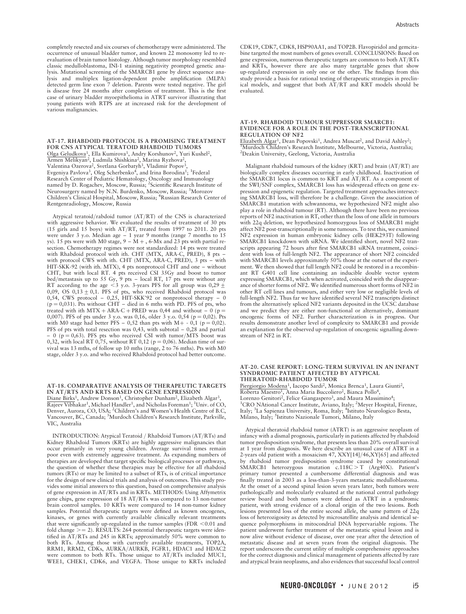completely resected and six courses of chemotherapy were administered. The occurrence of unusual bladder tumor, and known 22 monosomy led to reevaluation of brain tumor histology. Although tumor morphology resembled classic medulloblastoma, INI-1 staining negativity prompted genetic analysis. Mutational screening of the SMARCB1 gene by direct sequence analysis and multiplex ligation-dependent probe amplification (MLPA) detected germ line exon 7 deletion. Parents were tested negative. The girl is disease free 24 months after completion of treatment. This is the first case of urinary bladder myoepithelioma in ATRT survivor illustrating that young patients with RTPS are at increased risk for the development of various malignancies.

AT-17. RHABDOID PROTOCOL IS A PROMISING TREATMENT FOR CNS ATYPICAL TERATOID RHABDOID TUMORS Olga Geludkova1, Ella Kumirova1, Andry Korshunov2, Yuri Kushel2, Armen Melikyan2, Ludmila Shishkina2, Marina Ryzhova2, Valentina Ozerova<sup>2</sup>, Svetlana Gorbatyh<sup>3</sup>, Vladimir Popov<sup>3</sup> Evgeniya Pavlova<sup>3</sup>, Oleg Scherbenko<sup>4</sup>, and Irina Borodina<sup>1</sup>; <sup>1</sup>Federal Research Center of Pediatric Hematology, Oncology and Immunology named by D. Rogachev, Moscow, Russia; <sup>2</sup>Scientific Research Institute of Neurosurgery named by N.N. Burdenko, Moscow, Russia; <sup>3</sup>Morozov Children's Clinical Hospital, Moscow, Russia; <sup>4</sup> Russian Research Center of Rentgenradiology, Moscow, Russia

Atypical teratoid/rabdoid tumor (AT/RT) of the CNS is characterized with aggressive behavior. We evaluated the results of treatment of 30 pts (15 girls and 15 boys) with AT/RT, treated from 1997 to 2011. 20 pts were under 3 y.o. Median age – 1 year 9 months (range 7 months to 15 ys). 15 pts were with M0 stage,  $9 - M +$ , 6-Mx and 23 pts with partial resection. Chemotherapy regimes were not standardized: 14 pts were treated with Rhabdoid protocol with ith. CHT (MTX, ARA-C, PRED), 8 pts – with protocol CWS with ith. CHT (MTX, ARA-C, PRED), 3 pts – with HIT-SKK-92 (with ith. MTX), 4 pts nonprotocol CHT and one – without CHT, but with local RT. 4 pts received CSI 35Gy and boost to tumor bed/metastasis up to 55 Gy,  $9$  pts – local RT, 17 pts were without any RT according to the age <3 y.o. 3-years PFS for all group was 0,29  $\pm$ 0,09, OS  $0,13 \pm 0,1$ . PFS of pts, who received Rhabdoid protocol was 0,54, CWS protocol – 0,25, HIT-SKK'92 or nonprotocol therapy – 0  $(p = 0,031)$ . Pts without CHT – died in 6 mths with PD. PFS of pts, who treated with ith MTX + ARA-C + PRED was 0,44 and without  $-$  0 (p = 0,007). PFS of pts under 3 y.o. was 0,16, older 3 y.o. 0,54 ( $p = 0.02$ ). Pts with M0 stage had better PFS – 0,52 than pts with M+ - 0,1 (p = 0,02). PFS of pts with total resection was 0,43, with subtotal – 0,28 and partial  $-0$  (p = 0,63). PFS pts who received CSI with tumor/MTS boost was 0,32, with local RT 0,75, without RT 0,12 ( $p = 0.06$ ). Median time of survival was 13 mths, of follow up 10 mths (range, 2 to 76 mths). Pts with M0 stage, older 3 y.o. and who received Rhabdoid protocol had better outcome.

### AT-18. COMPARATIVE ANALYSIS OF THERAPEUTIC TARGETS IN AT/RTS AND KRTS BASED ON GENE EXPRESSION

Diane Birks<sup>1</sup>, Andrew Donson<sup>1</sup>, Christopher Dunham<sup>2</sup>, Elizabeth Algar<sup>3</sup> Rajeev Vibhakar<sup>1</sup>, Michael Handler<sup>1</sup>, and Nicholas Foreman<sup>1</sup>; <sup>1</sup>Univ. of CO, Denver, Aurora, CO, USA; <sup>2</sup>Children's and Women's Health Centre of B.C, Vancouver, BC, Canada; <sup>3</sup>Murdoch Children's Research Institute, Parkville, VIC, Australia

INTRODUCTION: Atypical Teratoid / Rhabdoid Tumors (AT/RTs) and Kidney Rhabdoid Tumors (KRTs) are highly aggressive malignancies that occur primarily in very young children. Average survival times remain poor even with extremely aggressive treatment. As expanding numbers of therapies are developed that target specific biological processes or pathways, the question of whether these therapies may be effective for all rhabdoid tumors (RTs) or may be limited to a subset of RTs, is of critical importance for the design of new clinical trials and analysis of outcomes. This study provides some initial answers to this question, based on comprehensive analysis of gene expression in AT/RTs and in KRTs. METHODS: Using Affymetrix gene chips, gene expression of 18 AT/RTs was compared to 13 non-tumor brain control samples. 10 KRTs were compared to 14 non-tumor kidney samples. Potential therapeutic targets were defined as known oncogenes, kinases, or genes with currently available clinically relevant treatments that were significantly up-regulated in the tumor samples (FDR  $<$  0.01 and fold change  $>= 2$ ). RESULTS: 264 potential therapeutic targets were identified in AT/RTs and 245 in KRTs; approximately 50% were common to both RTs. Among those with currently available treatments, TOP2A, RRM1, RRM2, CDKs, AURKA/AURKB, FGFR1, HDAC1 and HDAC2 were common to both RTs. Those unique to AT/RTs included MUC1, WEE1, CHEK1, CDK6, and VEGFA. Those unique to KRTs included

CDK19, CDK7, CDK8, HSP90AA1, and TOP2B. Flavopiridol and gemcitabine targeted the most numbers of genes overall. CONCLUSIONS: Based on gene expression, numerous therapeutic targets are common to both AT/RTs and KRTs, however there are also many targetable genes that show up-regulated expression in only one or the other. The findings from this study provide a basis for rational testing of therapeutic strategies in preclin-ical models, and suggest that both AT/RT and KRT models should be evaluated.

### AT-19. RHABDOID TUMOUR SUPPRESSOR SMARCB1: EVIDENCE FOR A ROLE IN THE POST-TRANSCRIPTIONAL REGULATION OF NF2

Elizabeth Algar<sup>1</sup>, Dean Popovski<sup>1</sup>, Andrea Muscat<sup>2</sup>, and David Ashley<sup>2</sup>; Murdoch Children's Research Institute, Melbourne, Victoria, Australia; 2 Deakin University, Geelong, Victoria, Australia

Malignant rhabdoid tumours of the kidney (KRT) and brain (AT/RT) are biologically complex diseases occurring in early childhood. Inactivation of the SMARCB1 locus is common to KRT and AT/RT. As a component of the SWI/SNF complex, SMARCB1 loss has widespread effects on gene expression and epigenetic regulation. Targeted treatment approaches intersecting SMARCB1 loss, will therefore be a challenge. Given the association of SMARCB1 mutation with schwannoma, we hypothesized NF2 might also play a role in rhabdoid tumour (RT). Although there have been no previous reports of NF2 inactivation in RT, other than the loss of one allele in tumours with 22q deletion, we hypothesized homozygous loss of SMARCB1 might affect NF2 post-transcriptionally in some tumours. To test this, we examined NF2 expression in human embryonic kidney cells (HEK293T) following SMARCB1 knockdown with siRNA. We identified short, novel NF2 transcripts appearing 72 hours after first SMARCB1 siRNA treatment, coincident with loss of full-length NF2. The appearance of short NF2 coincided with SMARCB1 levels approximately 50% those at the outset of the experiment. We then showed that full length NF2 could be restored in a recombinant RT G401 cell line containing an inducible double vector system expressing SMARCB1, which when activated, coincided with the disappearance of shorter forms of NF2. We identified numerous short forms of NF2 in other RT cell lines and tumours, and either very low or negligible levels of full-length NF2. Thus far we have identified several NF2 transcripts distinct from the alternatively spliced NF2 variants deposited in the UCSC database and we predict they are either non-functional or alternatively, dominant oncogenic forms of NF2. Further characterization is in progress. Our results demonstrate another level of complexity to SMARCB1 and provide an explanation for the observed up-regulation of oncogenic signalling downstream of NF2 in RT.

### AT-20. CASE REPORT: LONG-TERM SURVIVAL IN AN INFANT SYNDROMIC PATIENT AFFECTED BY ATYPICAL THERATOID-RHABDOID TUMOR

Piergiorgio Modena1, Iacopo Sardi2, Monica Brenca1, Laura Giunti2, Roberta Maestro<sup>1</sup>, Anna Maria Buccoliero<sup>2</sup>, Bianca Pollo<sup>4</sup>, Lorenzo Genitori<sup>2</sup>, Felice Giangaspero<sup>3</sup>, and Maura Massimino<sup>4</sup> CRO NAtional Cancer Institute, Aviano, Italy; <sup>2</sup>Meyer Hospital, Firenze, Italy; <sup>3</sup>La Sapienza University, Roma, Italy; <sup>4</sup>Istituto Neurologico Besta, Milano, Italy; <sup>5</sup>Istituto Nazionale Tumori, Milano, Italy

Atypical theratoid rhabdoid tumor (ATRT) is an aggressive neoplasm of infancy with a dismal prognosis, particularly in patients affected by rhabdoid tumor predisposition syndrome, that presents less than 20% overall survival at 1 year from diagnosis. We here describe an unusual case of ATRT in a 2-years old patient with a mosaicism 47, XXY[14]/46,XY[65] and affected by rhabdoid tumor predisposition syndrome caused by constitutional SMARCB1 heterozygous mutation c.118C > T (Arg40X). Patient's primary tumor presented a cumbersome differential diagnosis and was finally treated in 2003 as a less-than-3-years metastatic medulloblastoma. At the onset of a second spinal lesion seven years later, both tumors were pathologically and molecularly evaluated at the national central pathology review board and both tumors were defined as ATRT in a syndromic patient, with strong evidence of a clonal origin of the two lesions. Both lesions presented loss of the entire second allele, the same pattern of 22q loss of heterozigosity as detected by microsatellite analysis and identical sequence polymorphisms in mitocondrial DNA hypervariable regions. The patient underwent further treatment of the metastatic spinal lesion and is now alive without evidence of disease, over one year after the detection of metastatic disease and at seven years from the original diagnosis. The report underscores the current utility of multiple comprehensive approaches for the correct diagnosis and clinical management of patients affected by rare and atypical brain neoplasms, and also evidences that successful local control